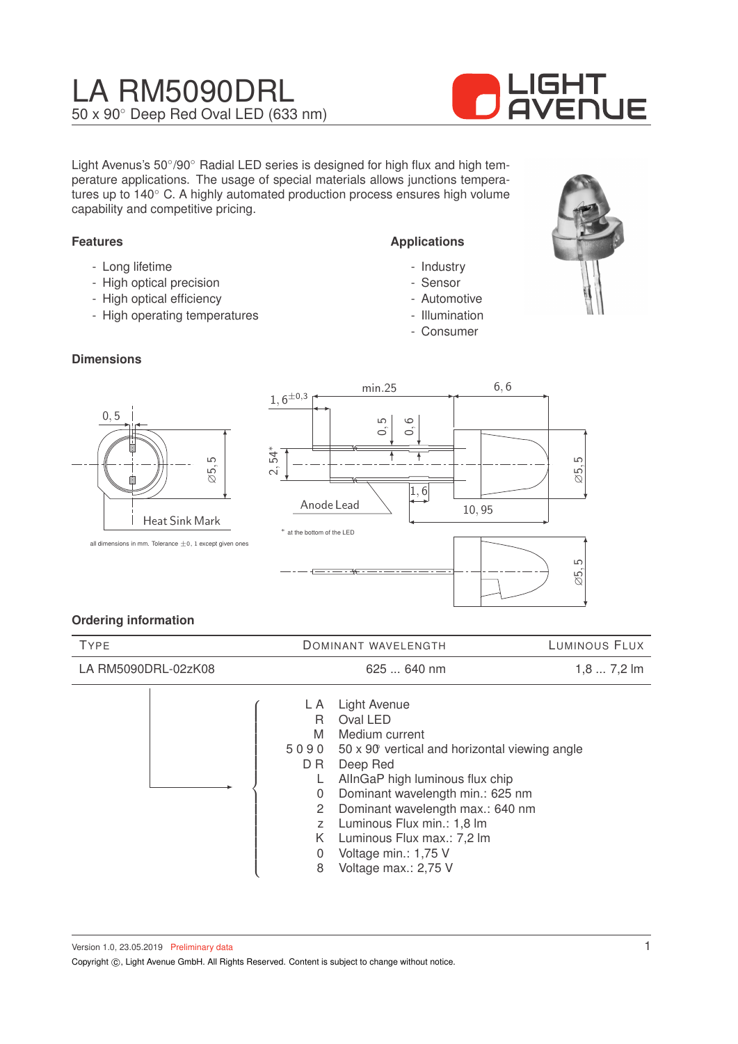# LA RM5090DRL 50 x 90◦ Deep Red Oval LED (633 nm)



Light Avenus's 50°/90° Radial LED series is designed for high flux and high temperature applications. The usage of special materials allows junctions temperatures up to 140◦ C. A highly automated production process ensures high volume capability and competitive pricing.

#### **Features**

- Long lifetime
- High optical precision
- High optical efficiency
- High operating temperatures

#### **Dimensions**

# ∅5, 5 0, 5 Heat Sink Mark



**Applications**

- Industry - Sensor - Automotive - Illumination - Consumer

#### **Ordering information**

| <b>TYPE</b>         |                                                                                               | DOMINANT WAVELENGTH                                                                                                                                                                                                                                                                                                                   | LUMINOUS FLUX |  |
|---------------------|-----------------------------------------------------------------------------------------------|---------------------------------------------------------------------------------------------------------------------------------------------------------------------------------------------------------------------------------------------------------------------------------------------------------------------------------------|---------------|--|
| LA RM5090DRL-02zK08 |                                                                                               | 625  640 nm                                                                                                                                                                                                                                                                                                                           | $1,87,2$ lm   |  |
|                     | L A<br>R.<br>M<br>5090<br>D R<br>L.<br>$\Omega$<br>2<br>$\overline{z}$<br>K.<br>$\Omega$<br>8 | <b>Light Avenue</b><br>Oval LED<br>Medium current<br>50 x 90 vertical and horizontal viewing angle<br>Deep Red<br>AllnGaP high luminous flux chip<br>Dominant wavelength min.: 625 nm<br>Dominant wavelength max.: 640 nm<br>Luminous Flux min.: 1,8 lm<br>Luminous Flux max.: 7,2 lm<br>Voltage min.: 1,75 V<br>Voltage max.: 2,75 V |               |  |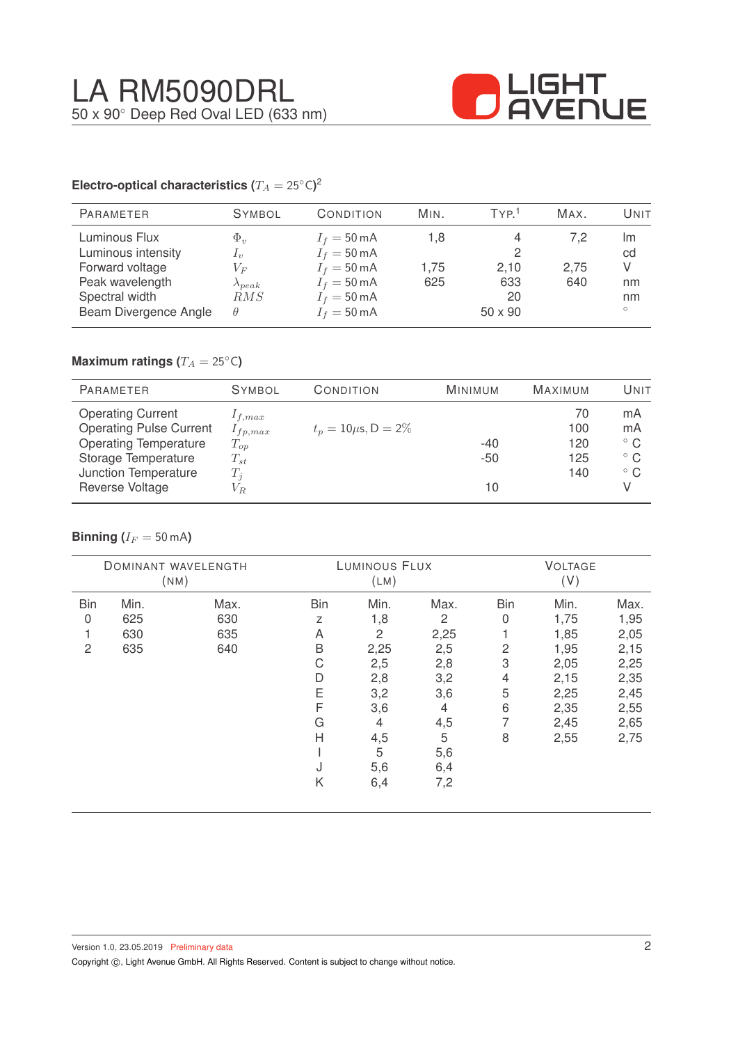

#### **Electro-optical characteristics (T\_A = 25^{\circ} \text{C}</math>)<sup>2</sup>**

| PARAMETER                                                                                                            | <b>SYMBOL</b>                                                                 | CONDITION                                                                                                                                          | MIN.               | TYP <sup>1</sup>             | MAX.               | Unit                                 |
|----------------------------------------------------------------------------------------------------------------------|-------------------------------------------------------------------------------|----------------------------------------------------------------------------------------------------------------------------------------------------|--------------------|------------------------------|--------------------|--------------------------------------|
| Luminous Flux<br>Luminous intensity<br>Forward voltage<br>Peak wavelength<br>Spectral width<br>Beam Divergence Angle | $\Phi_v$<br>$\mathcal{L}_v$<br>$V_{F}$<br>$\lambda_{peak}$<br>RMS<br>$\theta$ | $I_f = 50 \text{ mA}$<br>$I_f = 50 \text{ mA}$<br>$I_f = 50 \text{ mA}$<br>$I_f = 50 \text{ mA}$<br>$I_f = 50 \text{ mA}$<br>$I_f = 50 \text{ mA}$ | 1.8<br>1.75<br>625 | 2,10<br>633<br>20<br>50 x 90 | 7.2<br>2,75<br>640 | Im<br>cd<br>V<br>nm<br>nm<br>$\circ$ |
|                                                                                                                      |                                                                               |                                                                                                                                                    |                    |                              |                    |                                      |

## **Maximum ratings (** $T_A = 25$ °C)

| <b>PARAMETER</b>                                                                                                  | <b>SYMBOL</b>                                       | CONDITION                 | <b>MINIMUM</b> | <b>MAXIMUM</b>          | UNIT                                     |
|-------------------------------------------------------------------------------------------------------------------|-----------------------------------------------------|---------------------------|----------------|-------------------------|------------------------------------------|
| <b>Operating Current</b><br><b>Operating Pulse Current</b><br><b>Operating Temperature</b><br>Storage Temperature | $1_{f,max}$<br>$1_{fp,max}$<br>$T_{op}$<br>$T_{st}$ | $t_p = 10 \mu s$ , D = 2% | $-40$<br>$-50$ | 70<br>100<br>120<br>125 | mA<br>mA<br>$^{\circ}$ C<br>$^{\circ}$ C |
| Junction Temperature<br>Reverse Voltage                                                                           | $T_i$<br>$V_{R}$                                    |                           | 10             | 140                     | $^{\circ}$ C                             |

#### **Binning** ( $I_F = 50$  mA)

| LUMINOUS FLUX<br>DOMINANT WAVELENGTH<br>(LM)<br>(NM) |      |      | <b>VOLTAGE</b><br>(V) |      |                |                |      |      |
|------------------------------------------------------|------|------|-----------------------|------|----------------|----------------|------|------|
| <b>Bin</b>                                           | Min. | Max. | <b>Bin</b>            | Min. | Max.           | <b>Bin</b>     | Min. | Max. |
| 0                                                    | 625  | 630  | Ζ                     | 1,8  | $\overline{c}$ | $\overline{0}$ | 1,75 | 1,95 |
|                                                      | 630  | 635  | A                     | 2    | 2,25           |                | 1,85 | 2,05 |
| $\overline{c}$                                       | 635  | 640  | B                     | 2,25 | 2,5            | $\overline{c}$ | 1,95 | 2,15 |
|                                                      |      |      | C                     | 2,5  | 2,8            | 3              | 2,05 | 2,25 |
|                                                      |      |      | D                     | 2,8  | 3,2            | 4              | 2,15 | 2,35 |
|                                                      |      |      | Ε                     | 3,2  | 3,6            | 5              | 2,25 | 2,45 |
|                                                      |      |      | F                     | 3,6  | 4              | 6              | 2,35 | 2,55 |
|                                                      |      |      | G                     | 4    | 4,5            |                | 2,45 | 2,65 |
|                                                      |      |      | H                     | 4,5  | 5              | 8              | 2,55 | 2,75 |
|                                                      |      |      |                       | 5    | 5,6            |                |      |      |
|                                                      |      |      | J                     | 5,6  | 6,4            |                |      |      |
|                                                      |      |      | Κ                     | 6,4  | 7,2            |                |      |      |
|                                                      |      |      |                       |      |                |                |      |      |

Copyright ©, Light Avenue GmbH. All Rights Reserved. Content is subject to change without notice.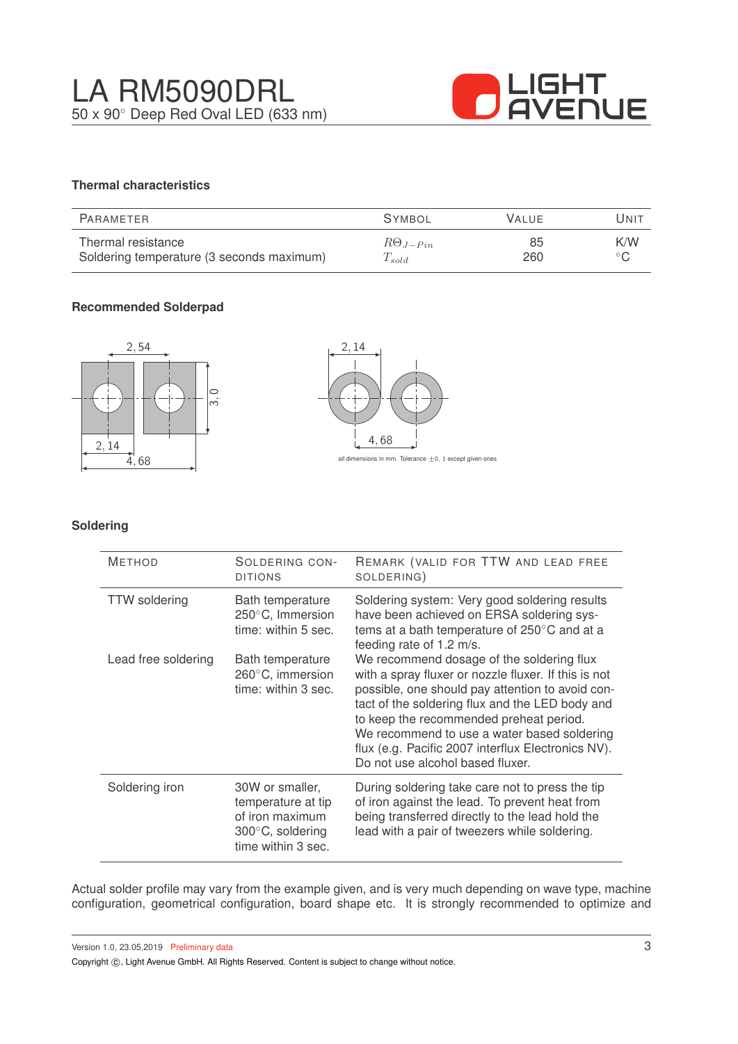

### **Thermal characteristics**

| PARAMETER                                 | <b>SYMBOL</b>     | <b>VALUE</b> | Unit           |
|-------------------------------------------|-------------------|--------------|----------------|
| Thermal resistance                        | $R\Theta_{J-Pin}$ | 85           | K/W            |
| Soldering temperature (3 seconds maximum) | $T_{sold}$        | 260          | $\circ$ $\sim$ |

#### **Recommended Solderpad**



#### **Soldering**

| <b>METHOD</b>        | SOLDERING CON-<br><b>DITIONS</b>                                                                   | REMARK (VALID FOR TTW AND LEAD FREE<br>SOLDERING)                                                                                                                                                                                                                                                                                                                                            |
|----------------------|----------------------------------------------------------------------------------------------------|----------------------------------------------------------------------------------------------------------------------------------------------------------------------------------------------------------------------------------------------------------------------------------------------------------------------------------------------------------------------------------------------|
| <b>TTW</b> soldering | Bath temperature<br>250°C, Immersion<br>time: within 5 sec.                                        | Soldering system: Very good soldering results<br>have been achieved on ERSA soldering sys-<br>tems at a bath temperature of $250^{\circ}$ C and at a<br>feeding rate of 1.2 m/s.                                                                                                                                                                                                             |
| Lead free soldering  | Bath temperature<br>260°C, immersion<br>time: within 3 sec.                                        | We recommend dosage of the soldering flux<br>with a spray fluxer or nozzle fluxer. If this is not<br>possible, one should pay attention to avoid con-<br>tact of the soldering flux and the LED body and<br>to keep the recommended preheat period.<br>We recommend to use a water based soldering<br>flux (e.g. Pacific 2007 interflux Electronics NV).<br>Do not use alcohol based fluxer. |
| Soldering iron       | 30W or smaller,<br>temperature at tip<br>of iron maximum<br>300°C, soldering<br>time within 3 sec. | During soldering take care not to press the tip<br>of iron against the lead. To prevent heat from<br>being transferred directly to the lead hold the<br>lead with a pair of tweezers while soldering.                                                                                                                                                                                        |

Actual solder profile may vary from the example given, and is very much depending on wave type, machine configuration, geometrical configuration, board shape etc. It is strongly recommended to optimize and

Version 1.0, 23.05.2019 Preliminary data

Copyright  $\circled{c}$ , Light Avenue GmbH. All Rights Reserved. Content is subject to change without notice.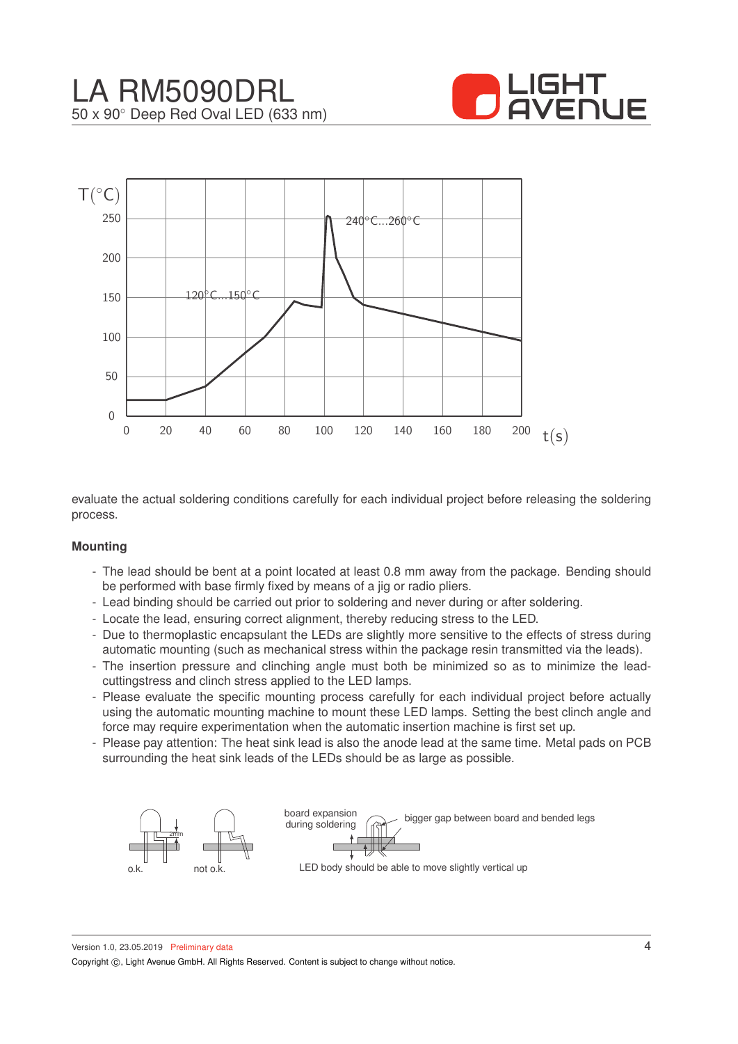



evaluate the actual soldering conditions carefully for each individual project before releasing the soldering process.

#### **Mounting**

- The lead should be bent at a point located at least 0.8 mm away from the package. Bending should be performed with base firmly fixed by means of a jig or radio pliers.
- Lead binding should be carried out prior to soldering and never during or after soldering.
- Locate the lead, ensuring correct alignment, thereby reducing stress to the LED.
- Due to thermoplastic encapsulant the LEDs are slightly more sensitive to the effects of stress during automatic mounting (such as mechanical stress within the package resin transmitted via the leads).
- The insertion pressure and clinching angle must both be minimized so as to minimize the leadcuttingstress and clinch stress applied to the LED lamps.
- Please evaluate the specific mounting process carefully for each individual project before actually using the automatic mounting machine to mount these LED lamps. Setting the best clinch angle and force may require experimentation when the automatic insertion machine is first set up.
- Please pay attention: The heat sink lead is also the anode lead at the same time. Metal pads on PCB surrounding the heat sink leads of the LEDs should be as large as possible.

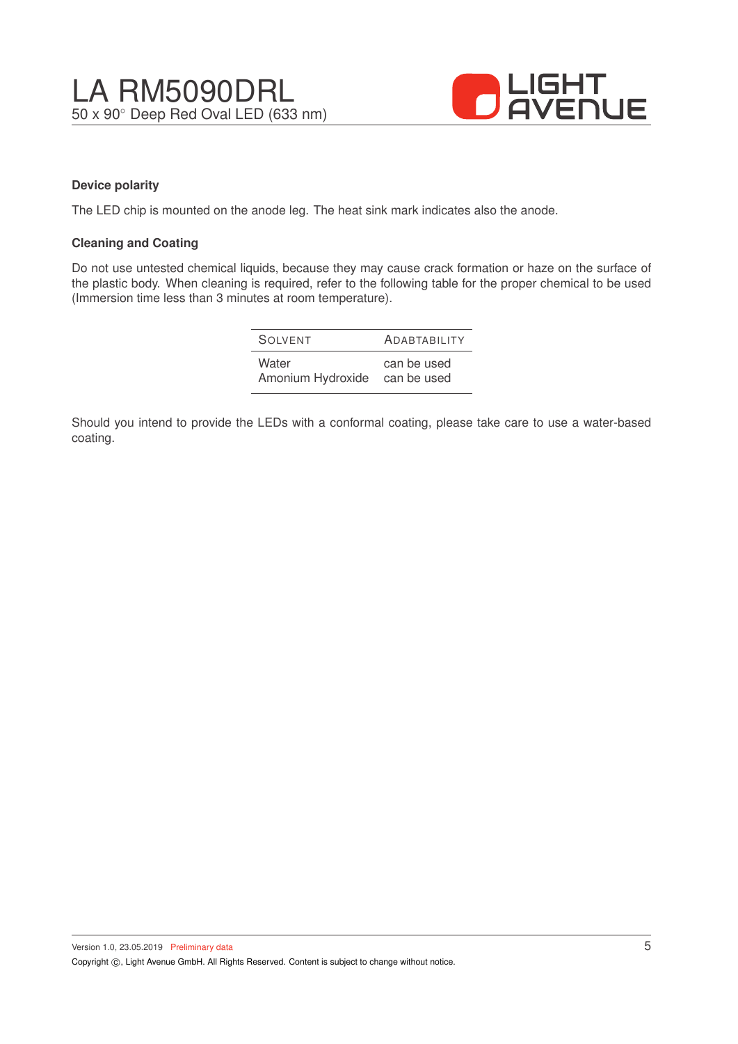

#### **Device polarity**

The LED chip is mounted on the anode leg. The heat sink mark indicates also the anode.

#### **Cleaning and Coating**

Do not use untested chemical liquids, because they may cause crack formation or haze on the surface of the plastic body. When cleaning is required, refer to the following table for the proper chemical to be used (Immersion time less than 3 minutes at room temperature).

| SOIVENT                                | <b>ADABTABILITY</b> |
|----------------------------------------|---------------------|
| Water<br>Amonium Hydroxide can be used | can be used         |

Should you intend to provide the LEDs with a conformal coating, please take care to use a water-based coating.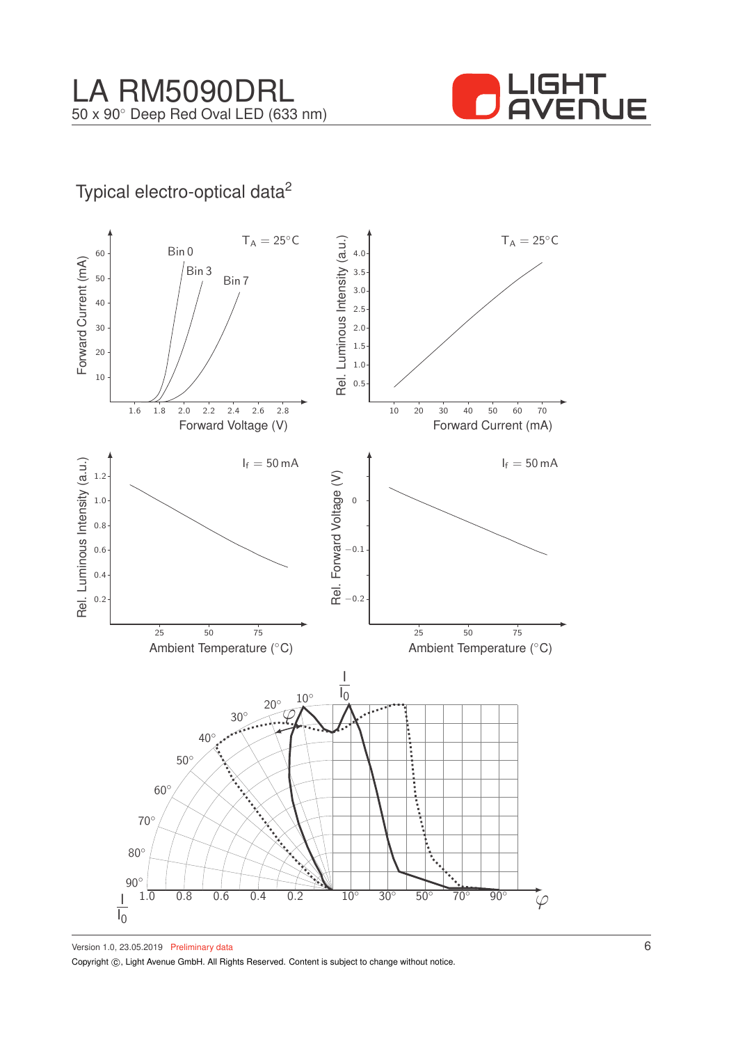

## Typical electro-optical data<sup>2</sup>



Version 1.0, 23.05.2019 Preliminary data Copyright  $\circled{c}$ , Light Avenue GmbH. All Rights Reserved. Content is subject to change without notice.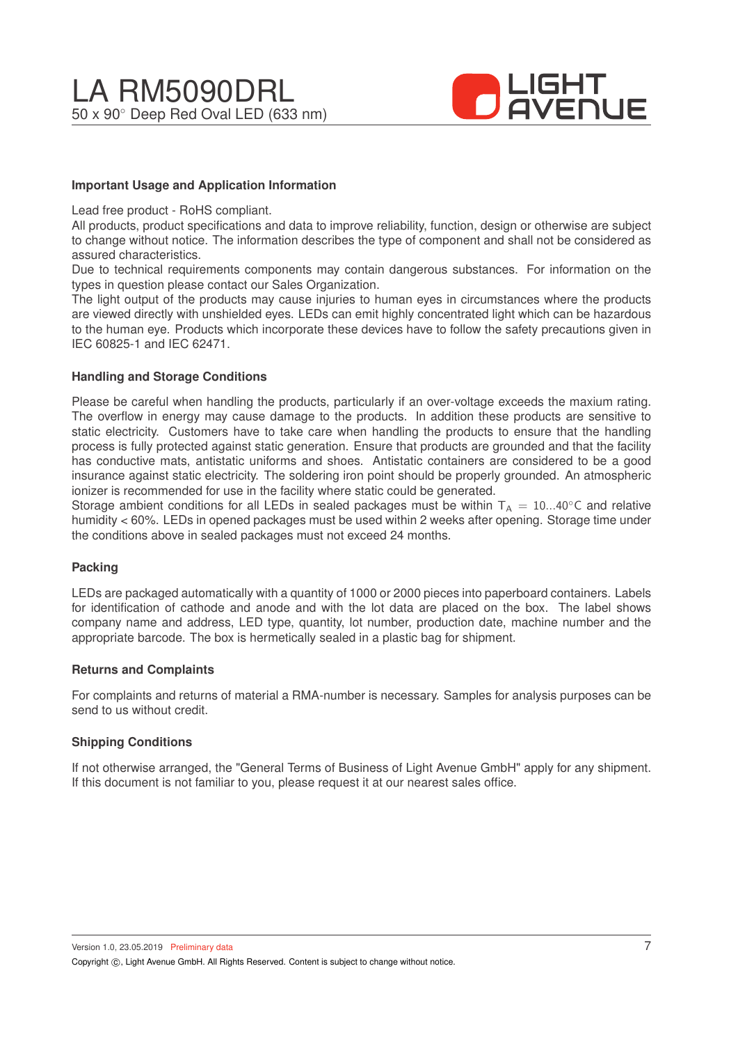

#### **Important Usage and Application Information**

Lead free product - RoHS compliant.

All products, product specifications and data to improve reliability, function, design or otherwise are subject to change without notice. The information describes the type of component and shall not be considered as assured characteristics.

Due to technical requirements components may contain dangerous substances. For information on the types in question please contact our Sales Organization.

The light output of the products may cause injuries to human eyes in circumstances where the products are viewed directly with unshielded eyes. LEDs can emit highly concentrated light which can be hazardous to the human eye. Products which incorporate these devices have to follow the safety precautions given in IEC 60825-1 and IEC 62471.

#### **Handling and Storage Conditions**

Please be careful when handling the products, particularly if an over-voltage exceeds the maxium rating. The overflow in energy may cause damage to the products. In addition these products are sensitive to static electricity. Customers have to take care when handling the products to ensure that the handling process is fully protected against static generation. Ensure that products are grounded and that the facility has conductive mats, antistatic uniforms and shoes. Antistatic containers are considered to be a good insurance against static electricity. The soldering iron point should be properly grounded. An atmospheric ionizer is recommended for use in the facility where static could be generated.

Storage ambient conditions for all LEDs in sealed packages must be within  $T_A = 10...40^\circ$ C and relative humidity < 60%. LEDs in opened packages must be used within 2 weeks after opening. Storage time under the conditions above in sealed packages must not exceed 24 months.

#### **Packing**

LEDs are packaged automatically with a quantity of 1000 or 2000 pieces into paperboard containers. Labels for identification of cathode and anode and with the lot data are placed on the box. The label shows company name and address, LED type, quantity, lot number, production date, machine number and the appropriate barcode. The box is hermetically sealed in a plastic bag for shipment.

#### **Returns and Complaints**

For complaints and returns of material a RMA-number is necessary. Samples for analysis purposes can be send to us without credit.

#### **Shipping Conditions**

If not otherwise arranged, the "General Terms of Business of Light Avenue GmbH" apply for any shipment. If this document is not familiar to you, please request it at our nearest sales office.